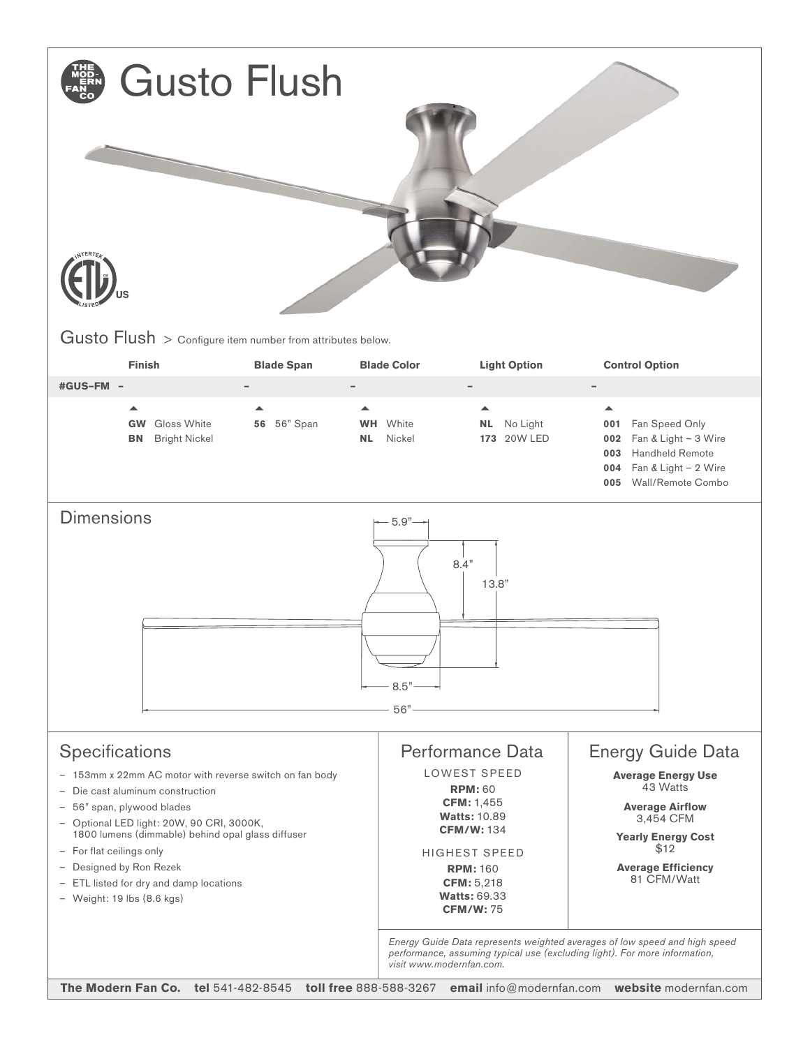